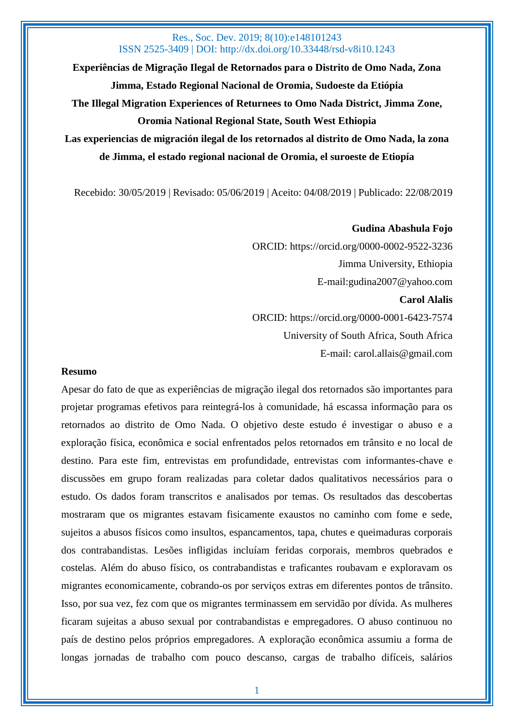**Experiências de Migração Ilegal de Retornados para o Distrito de Omo Nada, Zona Jimma, Estado Regional Nacional de Oromia, Sudoeste da Etiópia The Illegal Migration Experiences of Returnees to Omo Nada District, Jimma Zone, Oromia National Regional State, South West Ethiopia Las experiencias de migración ilegal de los retornados al distrito de Omo Nada, la zona** 

**de Jimma, el estado regional nacional de Oromia, el suroeste de Etiopía**

Recebido: 30/05/2019 | Revisado: 05/06/2019 | Aceito: 04/08/2019 | Publicado: 22/08/2019

# **Gudina Abashula Fojo** ORCID: https://orcid.org/0000-0002-9522-3236 Jimma University, Ethiopia E-mail:gudina2007@yahoo.com **Carol Alalis** ORCID: https://orcid.org/0000-0001-6423-7574 University of South Africa, South Africa E-mail: carol.allais@gmail.com

#### **Resumo**

Apesar do fato de que as experiências de migração ilegal dos retornados são importantes para projetar programas efetivos para reintegrá-los à comunidade, há escassa informação para os retornados ao distrito de Omo Nada. O objetivo deste estudo é investigar o abuso e a exploração física, econômica e social enfrentados pelos retornados em trânsito e no local de destino. Para este fim, entrevistas em profundidade, entrevistas com informantes-chave e discussões em grupo foram realizadas para coletar dados qualitativos necessários para o estudo. Os dados foram transcritos e analisados por temas. Os resultados das descobertas mostraram que os migrantes estavam fisicamente exaustos no caminho com fome e sede, sujeitos a abusos físicos como insultos, espancamentos, tapa, chutes e queimaduras corporais dos contrabandistas. Lesões infligidas incluíam feridas corporais, membros quebrados e costelas. Além do abuso físico, os contrabandistas e traficantes roubavam e exploravam os migrantes economicamente, cobrando-os por serviços extras em diferentes pontos de trânsito. Isso, por sua vez, fez com que os migrantes terminassem em servidão por dívida. As mulheres ficaram sujeitas a abuso sexual por contrabandistas e empregadores. O abuso continuou no país de destino pelos próprios empregadores. A exploração econômica assumiu a forma de longas jornadas de trabalho com pouco descanso, cargas de trabalho difíceis, salários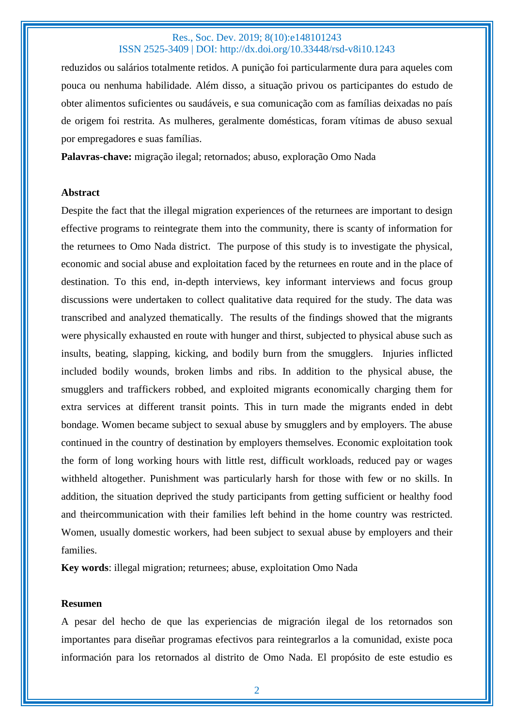reduzidos ou salários totalmente retidos. A punição foi particularmente dura para aqueles com pouca ou nenhuma habilidade. Além disso, a situação privou os participantes do estudo de obter alimentos suficientes ou saudáveis, e sua comunicação com as famílias deixadas no país de origem foi restrita. As mulheres, geralmente domésticas, foram vítimas de abuso sexual por empregadores e suas famílias.

**Palavras-chave:** migração ilegal; retornados; abuso, exploração Omo Nada

#### **Abstract**

Despite the fact that the illegal migration experiences of the returnees are important to design effective programs to reintegrate them into the community, there is scanty of information for the returnees to Omo Nada district. The purpose of this study is to investigate the physical, economic and social abuse and exploitation faced by the returnees en route and in the place of destination. To this end, in-depth interviews, key informant interviews and focus group discussions were undertaken to collect qualitative data required for the study. The data was transcribed and analyzed thematically. The results of the findings showed that the migrants were physically exhausted en route with hunger and thirst, subjected to physical abuse such as insults, beating, slapping, kicking, and bodily burn from the smugglers. Injuries inflicted included bodily wounds, broken limbs and ribs. In addition to the physical abuse, the smugglers and traffickers robbed, and exploited migrants economically charging them for extra services at different transit points. This in turn made the migrants ended in debt bondage. Women became subject to sexual abuse by smugglers and by employers. The abuse continued in the country of destination by employers themselves. Economic exploitation took the form of long working hours with little rest, difficult workloads, reduced pay or wages withheld altogether. Punishment was particularly harsh for those with few or no skills. In addition, the situation deprived the study participants from getting sufficient or healthy food and theircommunication with their families left behind in the home country was restricted. Women, usually domestic workers, had been subject to sexual abuse by employers and their families.

**Key words**: illegal migration; returnees; abuse, exploitation Omo Nada

#### **Resumen**

A pesar del hecho de que las experiencias de migración ilegal de los retornados son importantes para diseñar programas efectivos para reintegrarlos a la comunidad, existe poca información para los retornados al distrito de Omo Nada. El propósito de este estudio es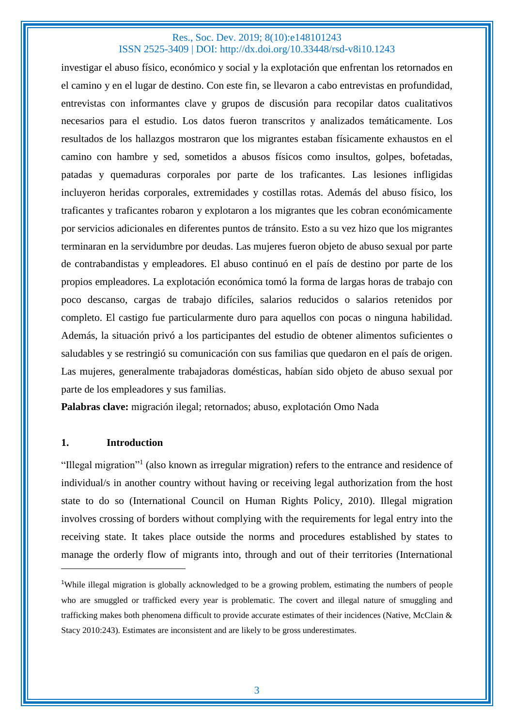investigar el abuso físico, económico y social y la explotación que enfrentan los retornados en el camino y en el lugar de destino. Con este fin, se llevaron a cabo entrevistas en profundidad, entrevistas con informantes clave y grupos de discusión para recopilar datos cualitativos necesarios para el estudio. Los datos fueron transcritos y analizados temáticamente. Los resultados de los hallazgos mostraron que los migrantes estaban físicamente exhaustos en el camino con hambre y sed, sometidos a abusos físicos como insultos, golpes, bofetadas, patadas y quemaduras corporales por parte de los traficantes. Las lesiones infligidas incluyeron heridas corporales, extremidades y costillas rotas. Además del abuso físico, los traficantes y traficantes robaron y explotaron a los migrantes que les cobran económicamente por servicios adicionales en diferentes puntos de tránsito. Esto a su vez hizo que los migrantes terminaran en la servidumbre por deudas. Las mujeres fueron objeto de abuso sexual por parte de contrabandistas y empleadores. El abuso continuó en el país de destino por parte de los propios empleadores. La explotación económica tomó la forma de largas horas de trabajo con poco descanso, cargas de trabajo difíciles, salarios reducidos o salarios retenidos por completo. El castigo fue particularmente duro para aquellos con pocas o ninguna habilidad. Además, la situación privó a los participantes del estudio de obtener alimentos suficientes o saludables y se restringió su comunicación con sus familias que quedaron en el país de origen. Las mujeres, generalmente trabajadoras domésticas, habían sido objeto de abuso sexual por parte de los empleadores y sus familias.

**Palabras clave:** migración ilegal; retornados; abuso, explotación Omo Nada

## **1. Introduction**

"Illegal migration"<sup>1</sup> (also known as irregular migration) refers to the entrance and residence of individual/s in another country without having or receiving legal authorization from the host state to do so (International Council on Human Rights Policy, 2010). Illegal migration involves crossing of borders without complying with the requirements for legal entry into the receiving state. It takes place outside the norms and procedures established by states to manage the orderly flow of migrants into, through and out of their territories (International

<sup>&</sup>lt;sup>1</sup>While illegal migration is globally acknowledged to be a growing problem, estimating the numbers of people who are smuggled or trafficked every year is problematic. The covert and illegal nature of smuggling and trafficking makes both phenomena difficult to provide accurate estimates of their incidences (Native, McClain & Stacy 2010:243). Estimates are inconsistent and are likely to be gross underestimates.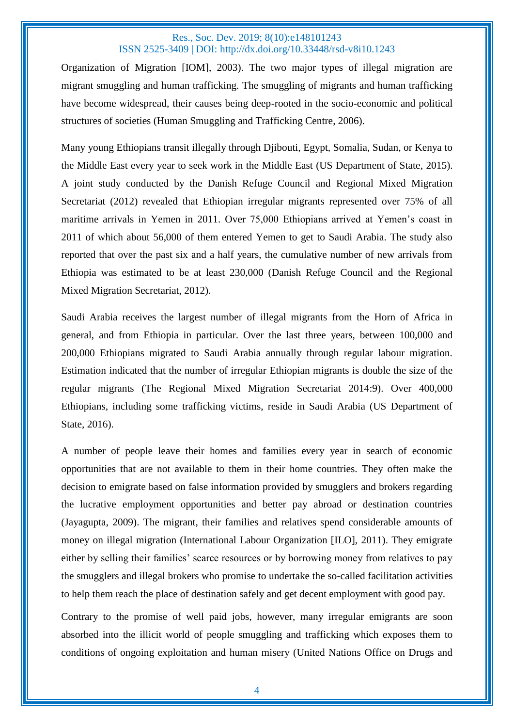Organization of Migration [IOM], 2003). The two major types of illegal migration are migrant smuggling and human trafficking. The smuggling of migrants and human trafficking have become widespread, their causes being deep-rooted in the socio-economic and political structures of societies (Human Smuggling and Trafficking Centre, 2006).

Many young Ethiopians transit illegally through Djibouti, Egypt, Somalia, Sudan, or Kenya to the Middle East every year to seek work in the Middle East (US Department of State, 2015). A joint study conducted by the Danish Refuge Council and Regional Mixed Migration Secretariat (2012) revealed that Ethiopian irregular migrants represented over 75% of all maritime arrivals in Yemen in 2011. Over 75,000 Ethiopians arrived at Yemen's coast in 2011 of which about 56,000 of them entered Yemen to get to Saudi Arabia. The study also reported that over the past six and a half years, the cumulative number of new arrivals from Ethiopia was estimated to be at least 230,000 (Danish Refuge Council and the Regional Mixed Migration Secretariat, 2012).

Saudi Arabia receives the largest number of illegal migrants from the Horn of Africa in general, and from Ethiopia in particular. Over the last three years, between 100,000 and 200,000 Ethiopians migrated to Saudi Arabia annually through regular labour migration. Estimation indicated that the number of irregular Ethiopian migrants is double the size of the regular migrants (The Regional Mixed Migration Secretariat 2014:9). Over 400,000 Ethiopians, including some trafficking victims, reside in Saudi Arabia (US Department of State, 2016).

A number of people leave their homes and families every year in search of economic opportunities that are not available to them in their home countries. They often make the decision to emigrate based on false information provided by smugglers and brokers regarding the lucrative employment opportunities and better pay abroad or destination countries (Jayagupta, 2009). The migrant, their families and relatives spend considerable amounts of money on illegal migration (International Labour Organization [ILO], 2011). They emigrate either by selling their families' scarce resources or by borrowing money from relatives to pay the smugglers and illegal brokers who promise to undertake the so-called facilitation activities to help them reach the place of destination safely and get decent employment with good pay.

Contrary to the promise of well paid jobs, however, many irregular emigrants are soon absorbed into the illicit world of people smuggling and trafficking which exposes them to conditions of ongoing exploitation and human misery (United Nations Office on Drugs and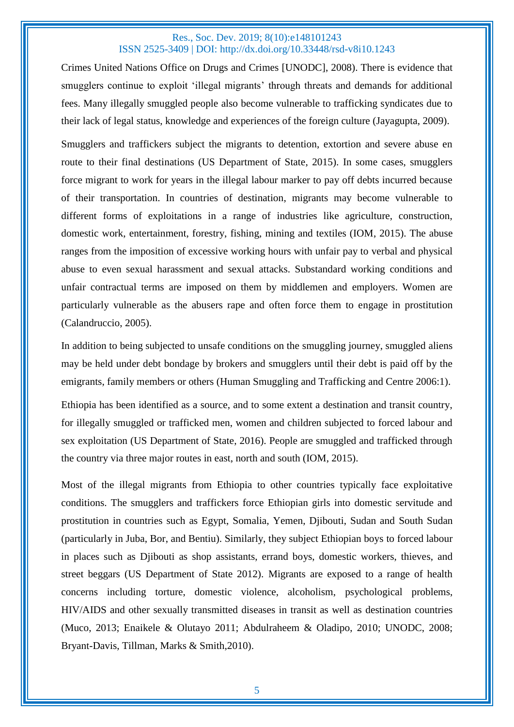Crimes United Nations Office on Drugs and Crimes [UNODC], 2008). There is evidence that smugglers continue to exploit 'illegal migrants' through threats and demands for additional fees. Many illegally smuggled people also become vulnerable to trafficking syndicates due to their lack of legal status, knowledge and experiences of the foreign culture (Jayagupta, 2009).

Smugglers and traffickers subject the migrants to detention, extortion and severe abuse en route to their final destinations (US Department of State, 2015). In some cases, smugglers force migrant to work for years in the illegal labour marker to pay off debts incurred because of their transportation. In countries of destination, migrants may become vulnerable to different forms of exploitations in a range of industries like agriculture, construction, domestic work, entertainment, forestry, fishing, mining and textiles (IOM, 2015). The abuse ranges from the imposition of excessive working hours with unfair pay to verbal and physical abuse to even sexual harassment and sexual attacks. Substandard working conditions and unfair contractual terms are imposed on them by middlemen and employers. Women are particularly vulnerable as the abusers rape and often force them to engage in prostitution (Calandruccio, 2005).

In addition to being subjected to unsafe conditions on the smuggling journey, smuggled aliens may be held under debt bondage by brokers and smugglers until their debt is paid off by the emigrants, family members or others (Human Smuggling and Trafficking and Centre 2006:1).

Ethiopia has been identified as a source, and to some extent a destination and transit country, for illegally smuggled or trafficked men, women and children subjected to forced labour and sex exploitation (US Department of State, 2016). People are smuggled and trafficked through the country via three major routes in east, north and south (IOM, 2015).

Most of the illegal migrants from Ethiopia to other countries typically face exploitative conditions. The smugglers and traffickers force Ethiopian girls into domestic servitude and prostitution in countries such as Egypt, Somalia, Yemen, Djibouti, Sudan and South Sudan (particularly in Juba, Bor, and Bentiu). Similarly, they subject Ethiopian boys to forced labour in places such as Djibouti as shop assistants, errand boys, domestic workers, thieves, and street beggars (US Department of State 2012). Migrants are exposed to a range of health concerns including torture, domestic violence, alcoholism, psychological problems, HIV/AIDS and other sexually transmitted diseases in transit as well as destination countries (Muco, 2013; Enaikele & Olutayo 2011; Abdulraheem & Oladipo, 2010; UNODC, 2008; Bryant-Davis, Tillman, Marks & Smith,2010).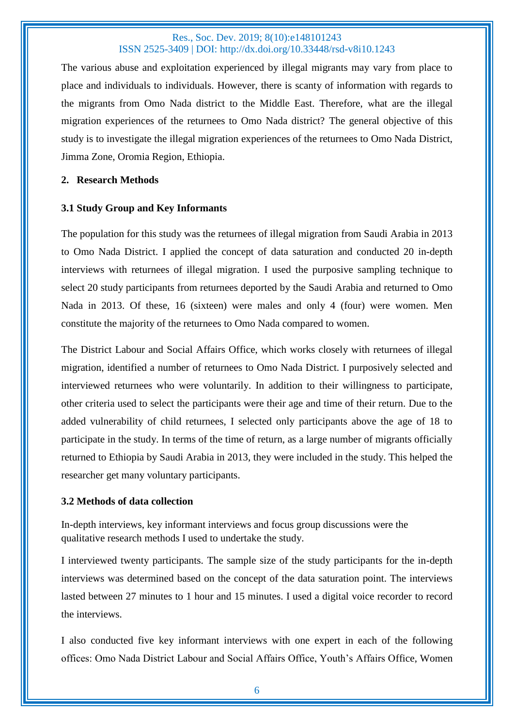The various abuse and exploitation experienced by illegal migrants may vary from place to place and individuals to individuals. However, there is scanty of information with regards to the migrants from Omo Nada district to the Middle East. Therefore, what are the illegal migration experiences of the returnees to Omo Nada district? The general objective of this study is to investigate the illegal migration experiences of the returnees to Omo Nada District, Jimma Zone, Oromia Region, Ethiopia.

#### **2. Research Methods**

## **3.1 Study Group and Key Informants**

The population for this study was the returnees of illegal migration from Saudi Arabia in 2013 to Omo Nada District. I applied the concept of data saturation and conducted 20 in-depth interviews with returnees of illegal migration. I used the purposive sampling technique to select 20 study participants from returnees deported by the Saudi Arabia and returned to Omo Nada in 2013. Of these, 16 (sixteen) were males and only 4 (four) were women. Men constitute the majority of the returnees to Omo Nada compared to women.

The District Labour and Social Affairs Office, which works closely with returnees of illegal migration, identified a number of returnees to Omo Nada District. I purposively selected and interviewed returnees who were voluntarily. In addition to their willingness to participate, other criteria used to select the participants were their age and time of their return. Due to the added vulnerability of child returnees, I selected only participants above the age of 18 to participate in the study. In terms of the time of return, as a large number of migrants officially returned to Ethiopia by Saudi Arabia in 2013, they were included in the study. This helped the researcher get many voluntary participants.

## **3.2 Methods of data collection**

In-depth interviews, key informant interviews and focus group discussions were the qualitative research methods I used to undertake the study.

I interviewed twenty participants. The sample size of the study participants for the in-depth interviews was determined based on the concept of the data saturation point. The interviews lasted between 27 minutes to 1 hour and 15 minutes. I used a digital voice recorder to record the interviews.

I also conducted five key informant interviews with one expert in each of the following offices: Omo Nada District Labour and Social Affairs Office, Youth's Affairs Office, Women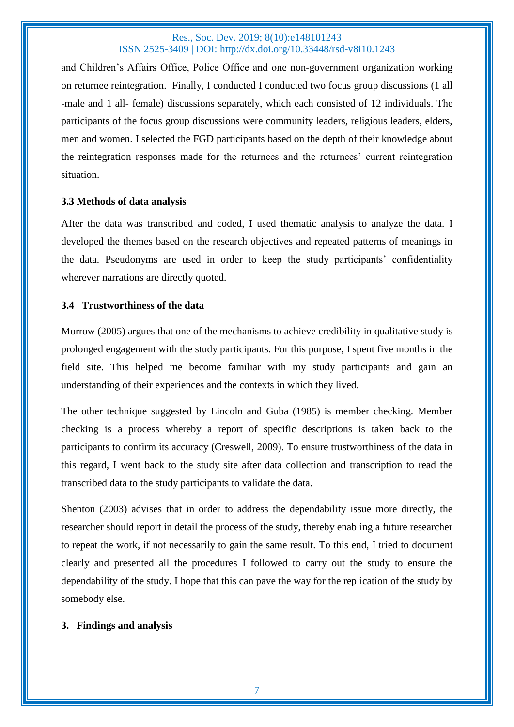and Children's Affairs Office, Police Office and one non-government organization working on returnee reintegration. Finally, I conducted I conducted two focus group discussions (1 all -male and 1 all- female) discussions separately, which each consisted of 12 individuals. The participants of the focus group discussions were community leaders, religious leaders, elders, men and women. I selected the FGD participants based on the depth of their knowledge about the reintegration responses made for the returnees and the returnees' current reintegration situation.

## **3.3 Methods of data analysis**

After the data was transcribed and coded, I used thematic analysis to analyze the data. I developed the themes based on the research objectives and repeated patterns of meanings in the data. Pseudonyms are used in order to keep the study participants' confidentiality wherever narrations are directly quoted.

## **3.4 Trustworthiness of the data**

Morrow (2005) argues that one of the mechanisms to achieve credibility in qualitative study is prolonged engagement with the study participants. For this purpose, I spent five months in the field site. This helped me become familiar with my study participants and gain an understanding of their experiences and the contexts in which they lived.

The other technique suggested by Lincoln and Guba (1985) is member checking. Member checking is a process whereby a report of specific descriptions is taken back to the participants to confirm its accuracy (Creswell, 2009). To ensure trustworthiness of the data in this regard, I went back to the study site after data collection and transcription to read the transcribed data to the study participants to validate the data.

Shenton (2003) advises that in order to address the dependability issue more directly, the researcher should report in detail the process of the study, thereby enabling a future researcher to repeat the work, if not necessarily to gain the same result. To this end, I tried to document clearly and presented all the procedures I followed to carry out the study to ensure the dependability of the study. I hope that this can pave the way for the replication of the study by somebody else.

## **3. Findings and analysis**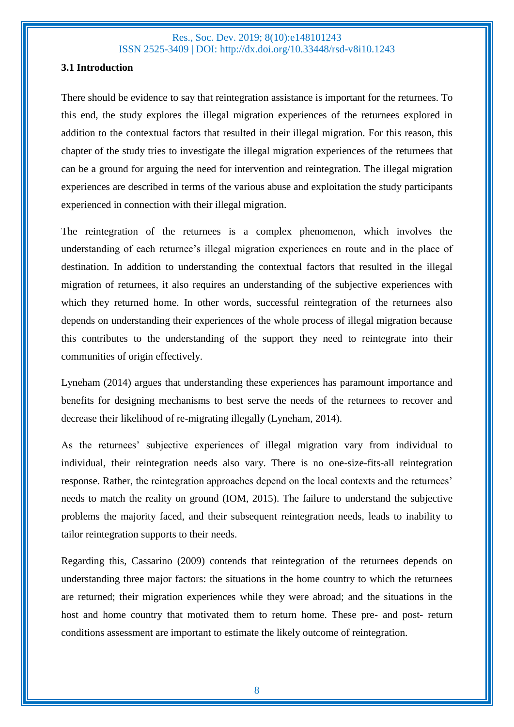## **3.1 Introduction**

There should be evidence to say that reintegration assistance is important for the returnees. To this end, the study explores the illegal migration experiences of the returnees explored in addition to the contextual factors that resulted in their illegal migration. For this reason, this chapter of the study tries to investigate the illegal migration experiences of the returnees that can be a ground for arguing the need for intervention and reintegration. The illegal migration experiences are described in terms of the various abuse and exploitation the study participants experienced in connection with their illegal migration.

The reintegration of the returnees is a complex phenomenon, which involves the understanding of each returnee's illegal migration experiences en route and in the place of destination. In addition to understanding the contextual factors that resulted in the illegal migration of returnees, it also requires an understanding of the subjective experiences with which they returned home. In other words, successful reintegration of the returnees also depends on understanding their experiences of the whole process of illegal migration because this contributes to the understanding of the support they need to reintegrate into their communities of origin effectively.

Lyneham (2014) argues that understanding these experiences has paramount importance and benefits for designing mechanisms to best serve the needs of the returnees to recover and decrease their likelihood of re-migrating illegally (Lyneham, 2014).

As the returnees' subjective experiences of illegal migration vary from individual to individual, their reintegration needs also vary. There is no one-size-fits-all reintegration response. Rather, the reintegration approaches depend on the local contexts and the returnees' needs to match the reality on ground (IOM, 2015). The failure to understand the subjective problems the majority faced, and their subsequent reintegration needs, leads to inability to tailor reintegration supports to their needs.

Regarding this, Cassarino (2009) contends that reintegration of the returnees depends on understanding three major factors: the situations in the home country to which the returnees are returned; their migration experiences while they were abroad; and the situations in the host and home country that motivated them to return home. These pre- and post- return conditions assessment are important to estimate the likely outcome of reintegration.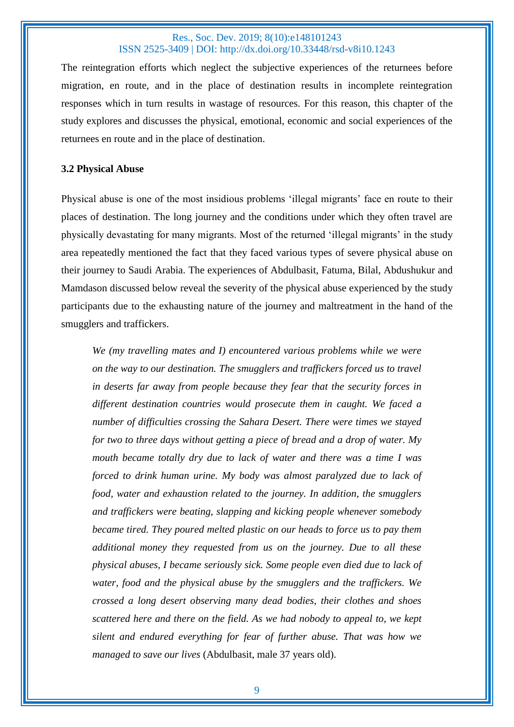The reintegration efforts which neglect the subjective experiences of the returnees before migration, en route, and in the place of destination results in incomplete reintegration responses which in turn results in wastage of resources. For this reason, this chapter of the study explores and discusses the physical, emotional, economic and social experiences of the returnees en route and in the place of destination.

#### **3.2 Physical Abuse**

Physical abuse is one of the most insidious problems 'illegal migrants' face en route to their places of destination. The long journey and the conditions under which they often travel are physically devastating for many migrants. Most of the returned 'illegal migrants' in the study area repeatedly mentioned the fact that they faced various types of severe physical abuse on their journey to Saudi Arabia. The experiences of Abdulbasit, Fatuma, Bilal, Abdushukur and Mamdason discussed below reveal the severity of the physical abuse experienced by the study participants due to the exhausting nature of the journey and maltreatment in the hand of the smugglers and traffickers.

*We (my travelling mates and I) encountered various problems while we were on the way to our destination. The smugglers and traffickers forced us to travel in deserts far away from people because they fear that the security forces in different destination countries would prosecute them in caught. We faced a number of difficulties crossing the Sahara Desert. There were times we stayed for two to three days without getting a piece of bread and a drop of water. My mouth became totally dry due to lack of water and there was a time I was forced to drink human urine. My body was almost paralyzed due to lack of food, water and exhaustion related to the journey. In addition, the smugglers and traffickers were beating, slapping and kicking people whenever somebody became tired. They poured melted plastic on our heads to force us to pay them additional money they requested from us on the journey. Due to all these physical abuses, I became seriously sick. Some people even died due to lack of water, food and the physical abuse by the smugglers and the traffickers. We crossed a long desert observing many dead bodies, their clothes and shoes scattered here and there on the field. As we had nobody to appeal to, we kept silent and endured everything for fear of further abuse. That was how we managed to save our lives* (Abdulbasit, male 37 years old).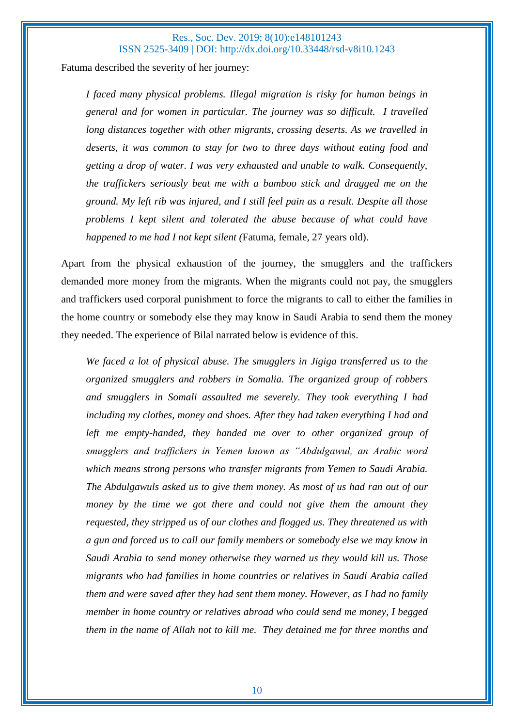Fatuma described the severity of her journey:

*I faced many physical problems. Illegal migration is risky for human beings in general and for women in particular. The journey was so difficult. I travelled long distances together with other migrants, crossing deserts. As we travelled in deserts, it was common to stay for two to three days without eating food and getting a drop of water. I was very exhausted and unable to walk. Consequently, the traffickers seriously beat me with a bamboo stick and dragged me on the ground. My left rib was injured, and I still feel pain as a result. Despite all those problems I kept silent and tolerated the abuse because of what could have happened to me had I not kept silent (*Fatuma, female, 27 years old).

Apart from the physical exhaustion of the journey, the smugglers and the traffickers demanded more money from the migrants. When the migrants could not pay, the smugglers and traffickers used corporal punishment to force the migrants to call to either the families in the home country or somebody else they may know in Saudi Arabia to send them the money they needed. The experience of Bilal narrated below is evidence of this.

*We faced a lot of physical abuse. The smugglers in Jigiga transferred us to the organized smugglers and robbers in Somalia. The organized group of robbers and smugglers in Somali assaulted me severely. They took everything I had including my clothes, money and shoes. After they had taken everything I had and left me empty-handed, they handed me over to other organized group of smugglers and traffickers in Yemen known as "Abdulgawul, an Arabic word which means strong persons who transfer migrants from Yemen to Saudi Arabia. The Abdulgawuls asked us to give them money. As most of us had ran out of our money by the time we got there and could not give them the amount they requested, they stripped us of our clothes and flogged us. They threatened us with a gun and forced us to call our family members or somebody else we may know in Saudi Arabia to send money otherwise they warned us they would kill us. Those migrants who had families in home countries or relatives in Saudi Arabia called them and were saved after they had sent them money. However, as I had no family member in home country or relatives abroad who could send me money, I begged them in the name of Allah not to kill me. They detained me for three months and*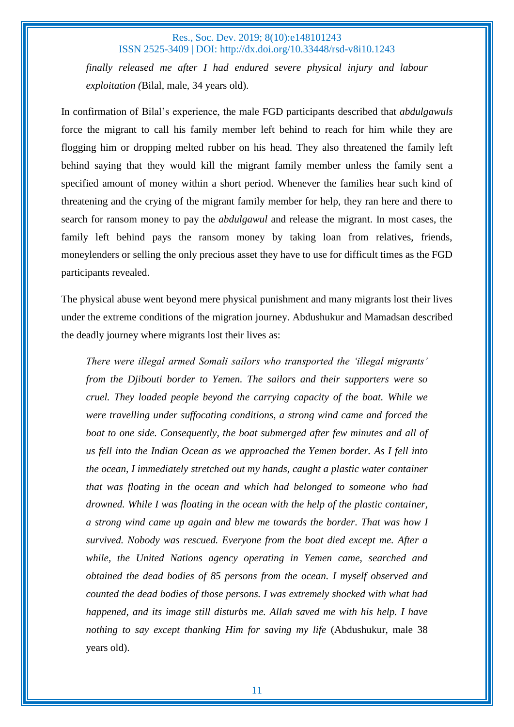*finally released me after I had endured severe physical injury and labour exploitation (*Bilal, male, 34 years old).

In confirmation of Bilal's experience, the male FGD participants described that *abdulgawuls*  force the migrant to call his family member left behind to reach for him while they are flogging him or dropping melted rubber on his head. They also threatened the family left behind saying that they would kill the migrant family member unless the family sent a specified amount of money within a short period. Whenever the families hear such kind of threatening and the crying of the migrant family member for help, they ran here and there to search for ransom money to pay the *abdulgawul* and release the migrant. In most cases, the family left behind pays the ransom money by taking loan from relatives, friends, moneylenders or selling the only precious asset they have to use for difficult times as the FGD participants revealed.

The physical abuse went beyond mere physical punishment and many migrants lost their lives under the extreme conditions of the migration journey. Abdushukur and Mamadsan described the deadly journey where migrants lost their lives as:

*There were illegal armed Somali sailors who transported the 'illegal migrants' from the Djibouti border to Yemen. The sailors and their supporters were so cruel. They loaded people beyond the carrying capacity of the boat. While we were travelling under suffocating conditions, a strong wind came and forced the boat to one side. Consequently, the boat submerged after few minutes and all of us fell into the Indian Ocean as we approached the Yemen border. As I fell into the ocean, I immediately stretched out my hands, caught a plastic water container that was floating in the ocean and which had belonged to someone who had drowned. While I was floating in the ocean with the help of the plastic container, a strong wind came up again and blew me towards the border. That was how I survived. Nobody was rescued. Everyone from the boat died except me. After a while, the United Nations agency operating in Yemen came, searched and obtained the dead bodies of 85 persons from the ocean. I myself observed and counted the dead bodies of those persons. I was extremely shocked with what had happened, and its image still disturbs me. Allah saved me with his help. I have nothing to say except thanking Him for saving my life* (Abdushukur, male 38 years old).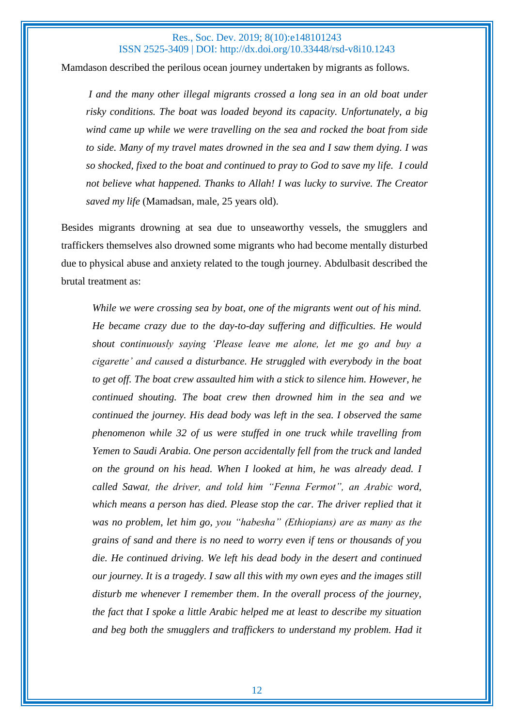Mamdason described the perilous ocean journey undertaken by migrants as follows.

*I and the many other illegal migrants crossed a long sea in an old boat under risky conditions. The boat was loaded beyond its capacity. Unfortunately, a big wind came up while we were travelling on the sea and rocked the boat from side to side. Many of my travel mates drowned in the sea and I saw them dying. I was so shocked, fixed to the boat and continued to pray to God to save my life. I could not believe what happened. Thanks to Allah! I was lucky to survive. The Creator saved my life* (Mamadsan, male, 25 years old).

Besides migrants drowning at sea due to unseaworthy vessels, the smugglers and traffickers themselves also drowned some migrants who had become mentally disturbed due to physical abuse and anxiety related to the tough journey. Abdulbasit described the brutal treatment as:

*While we were crossing sea by boat, one of the migrants went out of his mind. He became crazy due to the day-to-day suffering and difficulties. He would shout continuously saying 'Please leave me alone, let me go and buy a cigarette' and caused a disturbance. He struggled with everybody in the boat to get off. The boat crew assaulted him with a stick to silence him. However, he continued shouting. The boat crew then drowned him in the sea and we continued the journey. His dead body was left in the sea. I observed the same phenomenon while 32 of us were stuffed in one truck while travelling from Yemen to Saudi Arabia. One person accidentally fell from the truck and landed on the ground on his head. When I looked at him, he was already dead. I called Sawat, the driver, and told him "Fenna Fermot", an Arabic word, which means a person has died. Please stop the car. The driver replied that it was no problem, let him go, you "habesha" (Ethiopians) are as many as the grains of sand and there is no need to worry even if tens or thousands of you die. He continued driving. We left his dead body in the desert and continued our journey. It is a tragedy. I saw all this with my own eyes and the images still disturb me whenever I remember them*. *In the overall process of the journey, the fact that I spoke a little Arabic helped me at least to describe my situation and beg both the smugglers and traffickers to understand my problem. Had it*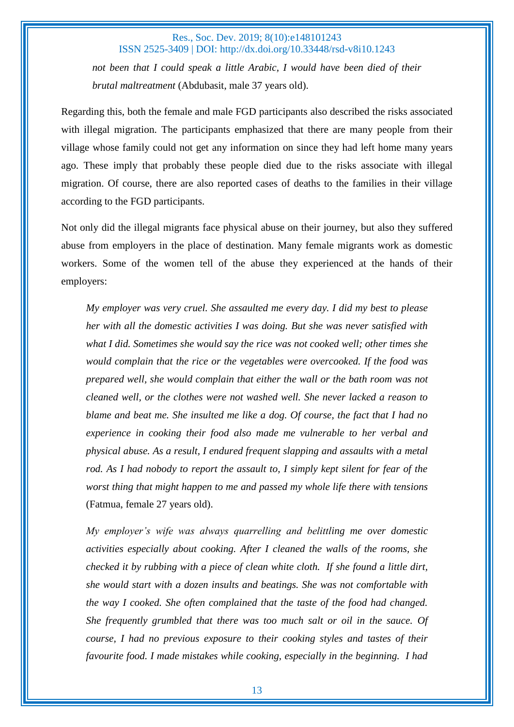*not been that I could speak a little Arabic, I would have been died of their brutal maltreatment* (Abdubasit, male 37 years old).

Regarding this, both the female and male FGD participants also described the risks associated with illegal migration. The participants emphasized that there are many people from their village whose family could not get any information on since they had left home many years ago. These imply that probably these people died due to the risks associate with illegal migration. Of course, there are also reported cases of deaths to the families in their village according to the FGD participants.

Not only did the illegal migrants face physical abuse on their journey, but also they suffered abuse from employers in the place of destination. Many female migrants work as domestic workers. Some of the women tell of the abuse they experienced at the hands of their employers:

*My employer was very cruel. She assaulted me every day. I did my best to please her with all the domestic activities I was doing. But she was never satisfied with what I did. Sometimes she would say the rice was not cooked well; other times she would complain that the rice or the vegetables were overcooked. If the food was prepared well, she would complain that either the wall or the bath room was not cleaned well, or the clothes were not washed well. She never lacked a reason to blame and beat me. She insulted me like a dog. Of course, the fact that I had no experience in cooking their food also made me vulnerable to her verbal and physical abuse. As a result, I endured frequent slapping and assaults with a metal rod. As I had nobody to report the assault to, I simply kept silent for fear of the worst thing that might happen to me and passed my whole life there with tensions* (Fatmua, female 27 years old).

*My employer's wife was always quarrelling and belittling me over domestic activities especially about cooking. After I cleaned the walls of the rooms, she checked it by rubbing with a piece of clean white cloth. If she found a little dirt, she would start with a dozen insults and beatings. She was not comfortable with the way I cooked. She often complained that the taste of the food had changed. She frequently grumbled that there was too much salt or oil in the sauce. Of course, I had no previous exposure to their cooking styles and tastes of their favourite food. I made mistakes while cooking, especially in the beginning. I had*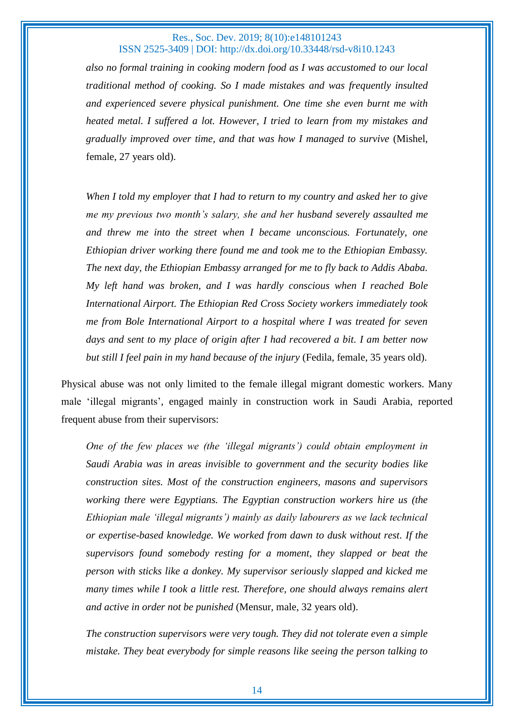*also no formal training in cooking modern food as I was accustomed to our local traditional method of cooking. So I made mistakes and was frequently insulted and experienced severe physical punishment. One time she even burnt me with heated metal. I suffered a lot. However, I tried to learn from my mistakes and gradually improved over time, and that was how I managed to survive* (Mishel, female, 27 years old).

*When I told my employer that I had to return to my country and asked her to give me my previous two month's salary, she and her husband severely assaulted me and threw me into the street when I became unconscious. Fortunately, one Ethiopian driver working there found me and took me to the Ethiopian Embassy. The next day, the Ethiopian Embassy arranged for me to fly back to Addis Ababa. My left hand was broken, and I was hardly conscious when I reached Bole International Airport. The Ethiopian Red Cross Society workers immediately took me from Bole International Airport to a hospital where I was treated for seven days and sent to my place of origin after I had recovered a bit. I am better now but still I feel pain in my hand because of the injury* (Fedila, female, 35 years old).

Physical abuse was not only limited to the female illegal migrant domestic workers. Many male 'illegal migrants', engaged mainly in construction work in Saudi Arabia, reported frequent abuse from their supervisors:

*One of the few places we (the 'illegal migrants') could obtain employment in Saudi Arabia was in areas invisible to government and the security bodies like construction sites. Most of the construction engineers, masons and supervisors working there were Egyptians. The Egyptian construction workers hire us (the Ethiopian male 'illegal migrants') mainly as daily labourers as we lack technical or expertise-based knowledge. We worked from dawn to dusk without rest. If the supervisors found somebody resting for a moment, they slapped or beat the person with sticks like a donkey. My supervisor seriously slapped and kicked me many times while I took a little rest. Therefore, one should always remains alert and active in order not be punished* (Mensur, male, 32 years old).

*The construction supervisors were very tough. They did not tolerate even a simple mistake. They beat everybody for simple reasons like seeing the person talking to*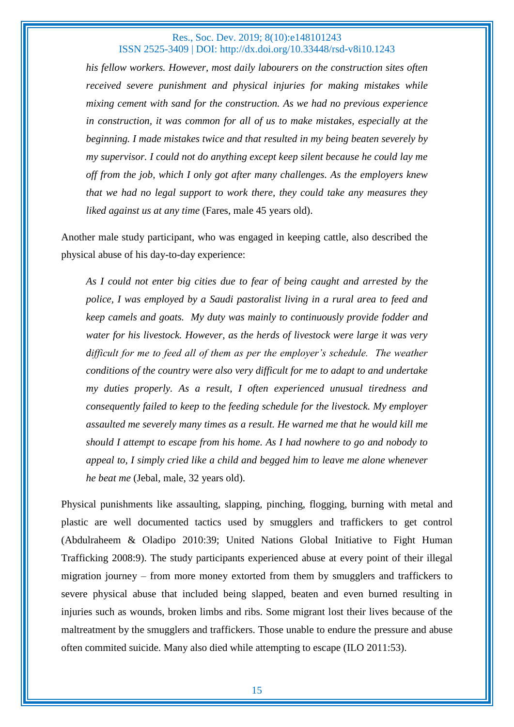*his fellow workers. However, most daily labourers on the construction sites often received severe punishment and physical injuries for making mistakes while mixing cement with sand for the construction. As we had no previous experience in construction, it was common for all of us to make mistakes, especially at the beginning. I made mistakes twice and that resulted in my being beaten severely by my supervisor. I could not do anything except keep silent because he could lay me off from the job, which I only got after many challenges. As the employers knew that we had no legal support to work there, they could take any measures they liked against us at any time* (Fares, male 45 years old).

Another male study participant, who was engaged in keeping cattle, also described the physical abuse of his day-to-day experience:

*As I could not enter big cities due to fear of being caught and arrested by the police, I was employed by a Saudi pastoralist living in a rural area to feed and keep camels and goats. My duty was mainly to continuously provide fodder and water for his livestock. However, as the herds of livestock were large it was very difficult for me to feed all of them as per the employer's schedule. The weather conditions of the country were also very difficult for me to adapt to and undertake my duties properly. As a result, I often experienced unusual tiredness and consequently failed to keep to the feeding schedule for the livestock. My employer assaulted me severely many times as a result. He warned me that he would kill me should I attempt to escape from his home. As I had nowhere to go and nobody to appeal to, I simply cried like a child and begged him to leave me alone whenever he beat me* (Jebal, male, 32 years old).

Physical punishments like assaulting, slapping, pinching, flogging, burning with metal and plastic are well documented tactics used by smugglers and traffickers to get control (Abdulraheem & Oladipo 2010:39; United Nations Global Initiative to Fight Human Trafficking 2008:9). The study participants experienced abuse at every point of their illegal migration journey – from more money extorted from them by smugglers and traffickers to severe physical abuse that included being slapped, beaten and even burned resulting in injuries such as wounds, broken limbs and ribs. Some migrant lost their lives because of the maltreatment by the smugglers and traffickers. Those unable to endure the pressure and abuse often commited suicide. Many also died while attempting to escape (ILO 2011:53).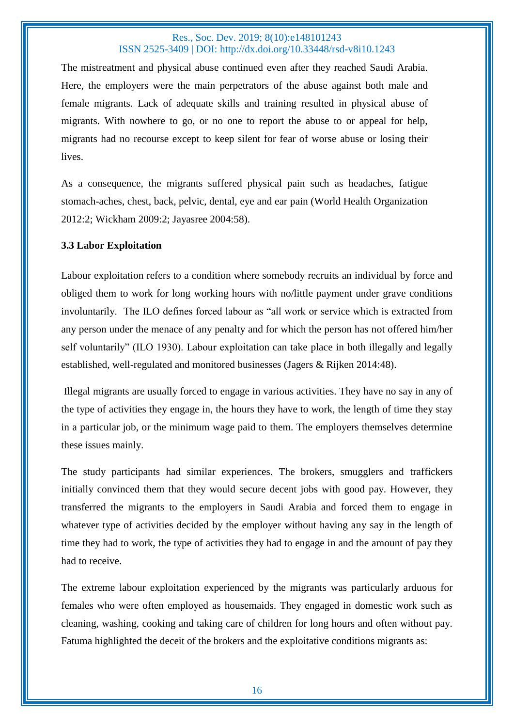The mistreatment and physical abuse continued even after they reached Saudi Arabia. Here, the employers were the main perpetrators of the abuse against both male and female migrants. Lack of adequate skills and training resulted in physical abuse of migrants. With nowhere to go, or no one to report the abuse to or appeal for help, migrants had no recourse except to keep silent for fear of worse abuse or losing their lives.

As a consequence, the migrants suffered physical pain such as headaches, fatigue stomach-aches, chest, back, pelvic, dental, eye and ear pain (World Health Organization 2012:2; Wickham 2009:2; Jayasree 2004:58).

#### **3.3 Labor Exploitation**

Labour exploitation refers to a condition where somebody recruits an individual by force and obliged them to work for long working hours with no/little payment under grave conditions involuntarily. The ILO defines forced labour as "all work or service which is extracted from any person under the menace of any penalty and for which the person has not offered him/her self voluntarily" (ILO 1930). Labour exploitation can take place in both illegally and legally established, well-regulated and monitored businesses (Jagers & Rijken 2014:48).

Illegal migrants are usually forced to engage in various activities. They have no say in any of the type of activities they engage in, the hours they have to work, the length of time they stay in a particular job, or the minimum wage paid to them. The employers themselves determine these issues mainly.

The study participants had similar experiences. The brokers, smugglers and traffickers initially convinced them that they would secure decent jobs with good pay. However, they transferred the migrants to the employers in Saudi Arabia and forced them to engage in whatever type of activities decided by the employer without having any say in the length of time they had to work, the type of activities they had to engage in and the amount of pay they had to receive.

The extreme labour exploitation experienced by the migrants was particularly arduous for females who were often employed as housemaids. They engaged in domestic work such as cleaning, washing, cooking and taking care of children for long hours and often without pay. Fatuma highlighted the deceit of the brokers and the exploitative conditions migrants as: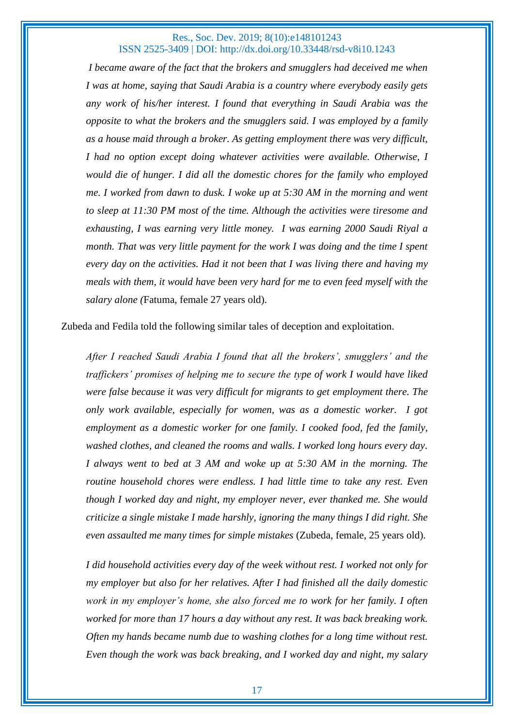*I became aware of the fact that the brokers and smugglers had deceived me when I was at home, saying that Saudi Arabia is a country where everybody easily gets any work of his/her interest. I found that everything in Saudi Arabia was the opposite to what the brokers and the smugglers said. I was employed by a family as a house maid through a broker. As getting employment there was very difficult, I had no option except doing whatever activities were available. Otherwise, I would die of hunger. I did all the domestic chores for the family who employed me. I worked from dawn to dusk. I woke up at 5:30 AM in the morning and went to sleep at 11:30 PM most of the time. Although the activities were tiresome and exhausting, I was earning very little money. I was earning 2000 Saudi Riyal a month. That was very little payment for the work I was doing and the time I spent every day on the activities. Had it not been that I was living there and having my meals with them, it would have been very hard for me to even feed myself with the salary alone (*Fatuma, female 27 years old).

Zubeda and Fedila told the following similar tales of deception and exploitation.

*After I reached Saudi Arabia I found that all the brokers', smugglers' and the traffickers' promises of helping me to secure the type of work I would have liked were false because it was very difficult for migrants to get employment there. The only work available, especially for women, was as a domestic worker. I got employment as a domestic worker for one family. I cooked food, fed the family, washed clothes, and cleaned the rooms and walls. I worked long hours every day. I always went to bed at 3 AM and woke up at 5:30 AM in the morning. The routine household chores were endless. I had little time to take any rest. Even though I worked day and night, my employer never, ever thanked me. She would criticize a single mistake I made harshly, ignoring the many things I did right. She even assaulted me many times for simple mistakes* (Zubeda, female, 25 years old).

*I did household activities every day of the week without rest. I worked not only for my employer but also for her relatives. After I had finished all the daily domestic work in my employer's home, she also forced me to work for her family. I often worked for more than 17 hours a day without any rest. It was back breaking work. Often my hands became numb due to washing clothes for a long time without rest. Even though the work was back breaking, and I worked day and night, my salary*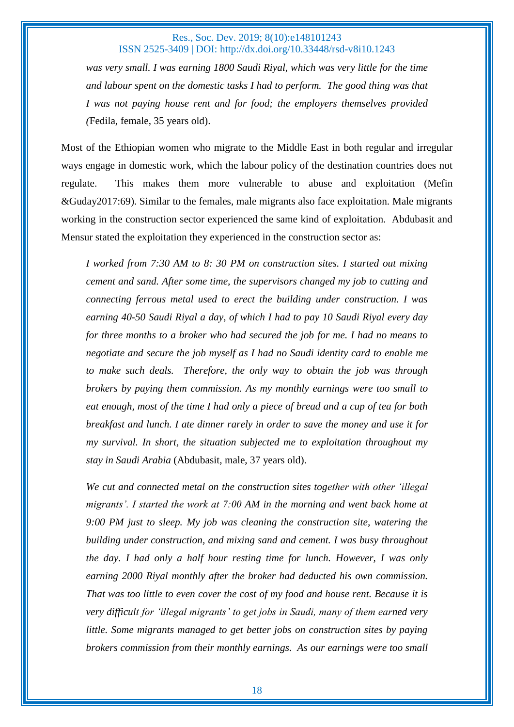was very small. I was earning 1800 Saudi Riyal, which was very little for the time *and labour spent on the domestic tasks I had to perform. The good thing was that I was not paying house rent and for food; the employers themselves provided (*Fedila, female, 35 years old).

Most of the Ethiopian women who migrate to the Middle East in both regular and irregular ways engage in domestic work, which the labour policy of the destination countries does not regulate. This makes them more vulnerable to abuse and exploitation (Mefin &Guday2017:69). Similar to the females, male migrants also face exploitation. Male migrants working in the construction sector experienced the same kind of exploitation. Abdubasit and Mensur stated the exploitation they experienced in the construction sector as:

*I worked from 7:30 AM to 8: 30 PM on construction sites. I started out mixing cement and sand. After some time, the supervisors changed my job to cutting and connecting ferrous metal used to erect the building under construction. I was earning 40-50 Saudi Riyal a day, of which I had to pay 10 Saudi Riyal every day for three months to a broker who had secured the job for me. I had no means to negotiate and secure the job myself as I had no Saudi identity card to enable me to make such deals. Therefore, the only way to obtain the job was through brokers by paying them commission. As my monthly earnings were too small to eat enough, most of the time I had only a piece of bread and a cup of tea for both breakfast and lunch. I ate dinner rarely in order to save the money and use it for my survival. In short, the situation subjected me to exploitation throughout my stay in Saudi Arabia* (Abdubasit, male, 37 years old).

*We cut and connected metal on the construction sites together with other 'illegal migrants'. I started the work at 7:00 AM in the morning and went back home at 9:00 PM just to sleep. My job was cleaning the construction site, watering the building under construction, and mixing sand and cement. I was busy throughout the day. I had only a half hour resting time for lunch. However, I was only earning 2000 Riyal monthly after the broker had deducted his own commission. That was too little to even cover the cost of my food and house rent. Because it is very difficult for 'illegal migrants' to get jobs in Saudi, many of them earned very little. Some migrants managed to get better jobs on construction sites by paying brokers commission from their monthly earnings. As our earnings were too small*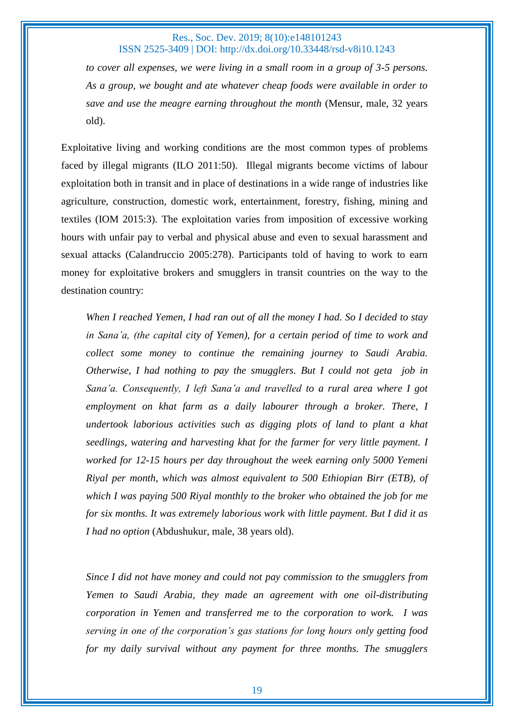*to cover all expenses, we were living in a small room in a group of 3-5 persons. As a group, we bought and ate whatever cheap foods were available in order to save and use the meagre earning throughout the month* (Mensur, male, 32 years old).

Exploitative living and working conditions are the most common types of problems faced by illegal migrants (ILO 2011:50). Illegal migrants become victims of labour exploitation both in transit and in place of destinations in a wide range of industries like agriculture, construction, domestic work, entertainment, forestry, fishing, mining and textiles (IOM 2015:3). The exploitation varies from imposition of excessive working hours with unfair pay to verbal and physical abuse and even to sexual harassment and sexual attacks (Calandruccio 2005:278). Participants told of having to work to earn money for exploitative brokers and smugglers in transit countries on the way to the destination country:

*When I reached Yemen, I had ran out of all the money I had. So I decided to stay in Sana'a, (the capital city of Yemen), for a certain period of time to work and collect some money to continue the remaining journey to Saudi Arabia. Otherwise, I had nothing to pay the smugglers. But I could not geta job in Sana'a. Consequently, I left Sana'a and travelled to a rural area where I got employment on khat farm as a daily labourer through a broker. There, I undertook laborious activities such as digging plots of land to plant a khat seedlings, watering and harvesting khat for the farmer for very little payment. I worked for 12-15 hours per day throughout the week earning only 5000 Yemeni Riyal per month, which was almost equivalent to 500 Ethiopian Birr (ETB), of which I was paying 500 Riyal monthly to the broker who obtained the job for me for six months. It was extremely laborious work with little payment. But I did it as I had no option* (Abdushukur, male, 38 years old).

*Since I did not have money and could not pay commission to the smugglers from Yemen to Saudi Arabia, they made an agreement with one oil-distributing corporation in Yemen and transferred me to the corporation to work. I was serving in one of the corporation's gas stations for long hours only getting food for my daily survival without any payment for three months. The smugglers*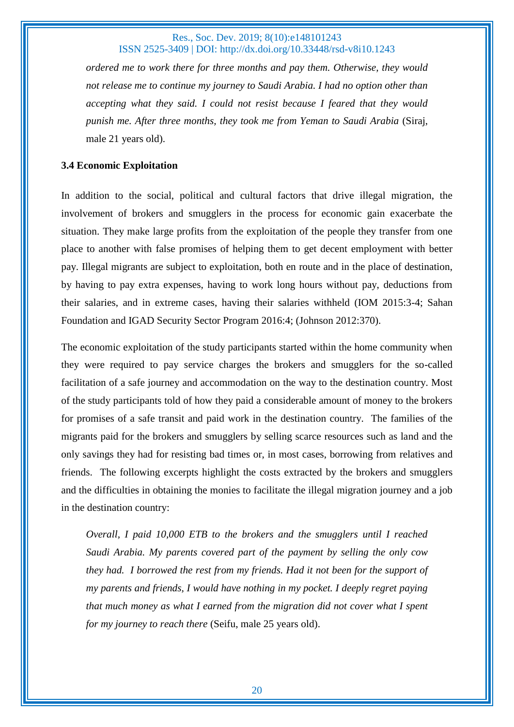*ordered me to work there for three months and pay them. Otherwise, they would not release me to continue my journey to Saudi Arabia. I had no option other than accepting what they said. I could not resist because I feared that they would punish me. After three months, they took me from Yeman to Saudi Arabia* (Siraj, male 21 years old).

## **3.4 Economic Exploitation**

In addition to the social, political and cultural factors that drive illegal migration, the involvement of brokers and smugglers in the process for economic gain exacerbate the situation. They make large profits from the exploitation of the people they transfer from one place to another with false promises of helping them to get decent employment with better pay. Illegal migrants are subject to exploitation, both en route and in the place of destination, by having to pay extra expenses, having to work long hours without pay, deductions from their salaries, and in extreme cases, having their salaries withheld (IOM 2015:3-4; Sahan Foundation and IGAD Security Sector Program 2016:4; (Johnson 2012:370).

The economic exploitation of the study participants started within the home community when they were required to pay service charges the brokers and smugglers for the so-called facilitation of a safe journey and accommodation on the way to the destination country. Most of the study participants told of how they paid a considerable amount of money to the brokers for promises of a safe transit and paid work in the destination country. The families of the migrants paid for the brokers and smugglers by selling scarce resources such as land and the only savings they had for resisting bad times or, in most cases, borrowing from relatives and friends. The following excerpts highlight the costs extracted by the brokers and smugglers and the difficulties in obtaining the monies to facilitate the illegal migration journey and a job in the destination country:

*Overall, I paid 10,000 ETB to the brokers and the smugglers until I reached Saudi Arabia. My parents covered part of the payment by selling the only cow they had. I borrowed the rest from my friends. Had it not been for the support of my parents and friends, I would have nothing in my pocket. I deeply regret paying that much money as what I earned from the migration did not cover what I spent for my journey to reach there* (Seifu, male 25 years old).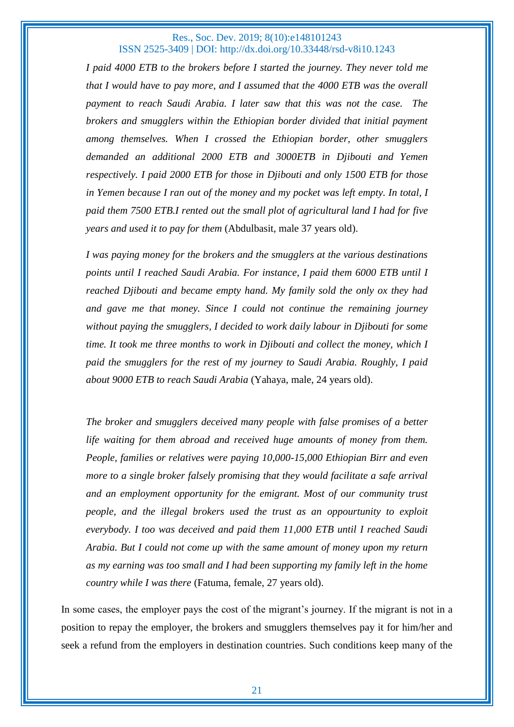*I paid 4000 ETB to the brokers before I started the journey. They never told me that I would have to pay more, and I assumed that the 4000 ETB was the overall payment to reach Saudi Arabia. I later saw that this was not the case. The brokers and smugglers within the Ethiopian border divided that initial payment among themselves. When I crossed the Ethiopian border, other smugglers demanded an additional 2000 ETB and 3000ETB in Djibouti and Yemen respectively. I paid 2000 ETB for those in Djibouti and only 1500 ETB for those in Yemen because I ran out of the money and my pocket was left empty. In total, I paid them 7500 ETB.I rented out the small plot of agricultural land I had for five years and used it to pay for them* (Abdulbasit, male 37 years old).

*I was paying money for the brokers and the smugglers at the various destinations points until I reached Saudi Arabia. For instance, I paid them 6000 ETB until I reached Djibouti and became empty hand. My family sold the only ox they had and gave me that money. Since I could not continue the remaining journey without paying the smugglers, I decided to work daily labour in Djibouti for some time. It took me three months to work in Djibouti and collect the money, which I paid the smugglers for the rest of my journey to Saudi Arabia. Roughly, I paid about 9000 ETB to reach Saudi Arabia* (Yahaya, male, 24 years old).

*The broker and smugglers deceived many people with false promises of a better life waiting for them abroad and received huge amounts of money from them. People, families or relatives were paying 10,000-15,000 Ethiopian Birr and even more to a single broker falsely promising that they would facilitate a safe arrival and an employment opportunity for the emigrant. Most of our community trust people, and the illegal brokers used the trust as an oppourtunity to exploit everybody. I too was deceived and paid them 11,000 ETB until I reached Saudi Arabia. But I could not come up with the same amount of money upon my return as my earning was too small and I had been supporting my family left in the home country while I was there* (Fatuma, female, 27 years old).

In some cases, the employer pays the cost of the migrant's journey. If the migrant is not in a position to repay the employer, the brokers and smugglers themselves pay it for him/her and seek a refund from the employers in destination countries. Such conditions keep many of the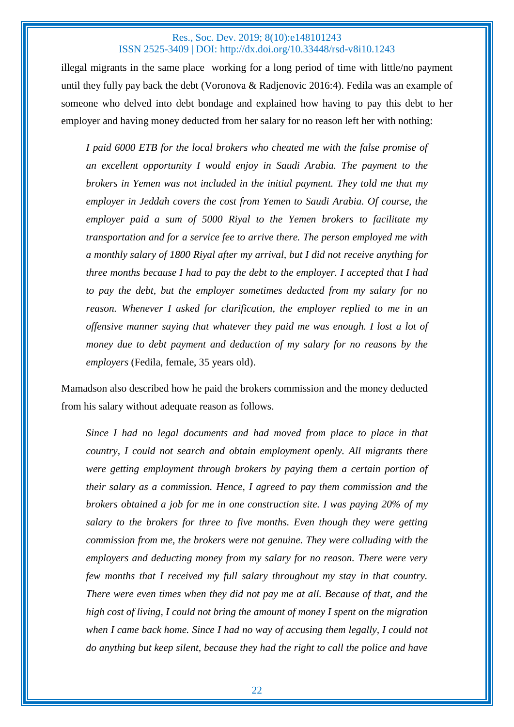illegal migrants in the same place working for a long period of time with little/no payment until they fully pay back the debt (Voronova & Radjenovic 2016:4). Fedila was an example of someone who delved into debt bondage and explained how having to pay this debt to her employer and having money deducted from her salary for no reason left her with nothing:

*I paid 6000 ETB for the local brokers who cheated me with the false promise of an excellent opportunity I would enjoy in Saudi Arabia. The payment to the brokers in Yemen was not included in the initial payment. They told me that my employer in Jeddah covers the cost from Yemen to Saudi Arabia. Of course, the employer paid a sum of 5000 Riyal to the Yemen brokers to facilitate my transportation and for a service fee to arrive there. The person employed me with a monthly salary of 1800 Riyal after my arrival, but I did not receive anything for three months because I had to pay the debt to the employer. I accepted that I had to pay the debt, but the employer sometimes deducted from my salary for no reason. Whenever I asked for clarification, the employer replied to me in an offensive manner saying that whatever they paid me was enough. I lost a lot of money due to debt payment and deduction of my salary for no reasons by the employers* (Fedila, female, 35 years old).

Mamadson also described how he paid the brokers commission and the money deducted from his salary without adequate reason as follows.

*Since I had no legal documents and had moved from place to place in that country, I could not search and obtain employment openly. All migrants there were getting employment through brokers by paying them a certain portion of their salary as a commission. Hence, I agreed to pay them commission and the brokers obtained a job for me in one construction site. I was paying 20% of my salary to the brokers for three to five months. Even though they were getting commission from me, the brokers were not genuine. They were colluding with the employers and deducting money from my salary for no reason. There were very few months that I received my full salary throughout my stay in that country. There were even times when they did not pay me at all. Because of that, and the high cost of living, I could not bring the amount of money I spent on the migration when I came back home. Since I had no way of accusing them legally, I could not do anything but keep silent, because they had the right to call the police and have*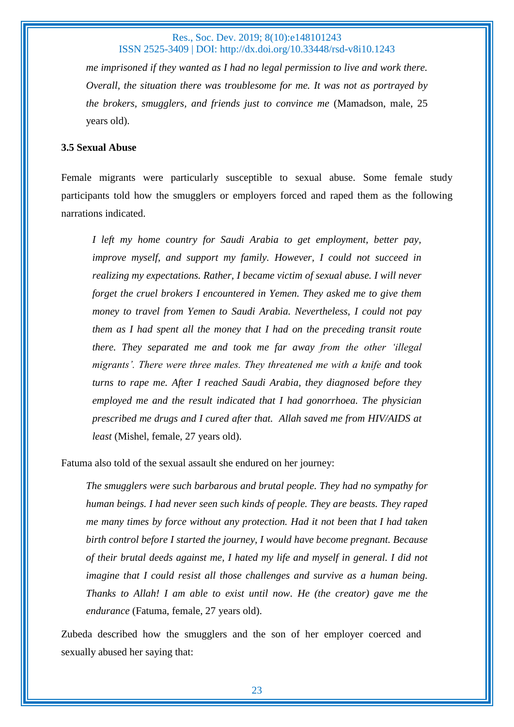*me imprisoned if they wanted as I had no legal permission to live and work there. Overall, the situation there was troublesome for me. It was not as portrayed by the brokers, smugglers, and friends just to convince me* (Mamadson, male, 25 years old).

## **3.5 Sexual Abuse**

Female migrants were particularly susceptible to sexual abuse. Some female study participants told how the smugglers or employers forced and raped them as the following narrations indicated.

*I left my home country for Saudi Arabia to get employment, better pay, improve myself, and support my family. However, I could not succeed in realizing my expectations. Rather, I became victim of sexual abuse. I will never forget the cruel brokers I encountered in Yemen. They asked me to give them money to travel from Yemen to Saudi Arabia. Nevertheless, I could not pay them as I had spent all the money that I had on the preceding transit route there. They separated me and took me far away from the other 'illegal migrants'. There were three males. They threatened me with a knife and took turns to rape me. After I reached Saudi Arabia, they diagnosed before they employed me and the result indicated that I had gonorrhoea. The physician prescribed me drugs and I cured after that. Allah saved me from HIV/AIDS at least* (Mishel, female, 27 years old).

Fatuma also told of the sexual assault she endured on her journey:

*The smugglers were such barbarous and brutal people. They had no sympathy for human beings. I had never seen such kinds of people. They are beasts. They raped me many times by force without any protection. Had it not been that I had taken birth control before I started the journey, I would have become pregnant. Because of their brutal deeds against me, I hated my life and myself in general. I did not imagine that I could resist all those challenges and survive as a human being. Thanks to Allah! I am able to exist until now. He (the creator) gave me the endurance* (Fatuma, female, 27 years old).

Zubeda described how the smugglers and the son of her employer coerced and sexually abused her saying that: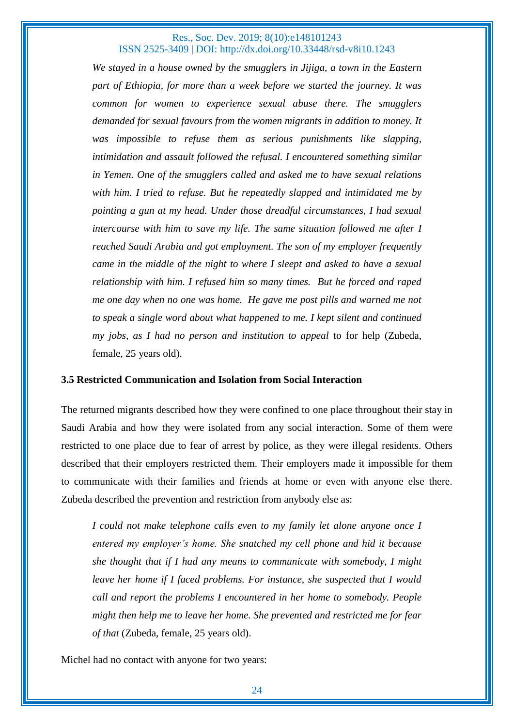*We stayed in a house owned by the smugglers in Jijiga, a town in the Eastern part of Ethiopia, for more than a week before we started the journey. It was common for women to experience sexual abuse there. The smugglers demanded for sexual favours from the women migrants in addition to money. It was impossible to refuse them as serious punishments like slapping, intimidation and assault followed the refusal. I encountered something similar in Yemen. One of the smugglers called and asked me to have sexual relations with him. I tried to refuse. But he repeatedly slapped and intimidated me by pointing a gun at my head. Under those dreadful circumstances, I had sexual intercourse with him to save my life. The same situation followed me after I reached Saudi Arabia and got employment. The son of my employer frequently came in the middle of the night to where I sleept and asked to have a sexual relationship with him. I refused him so many times. But he forced and raped me one day when no one was home. He gave me post pills and warned me not to speak a single word about what happened to me. I kept silent and continued my jobs, as I had no person and institution to appeal* to for help (Zubeda, female, 25 years old).

#### **3.5 Restricted Communication and Isolation from Social Interaction**

The returned migrants described how they were confined to one place throughout their stay in Saudi Arabia and how they were isolated from any social interaction. Some of them were restricted to one place due to fear of arrest by police, as they were illegal residents. Others described that their employers restricted them. Their employers made it impossible for them to communicate with their families and friends at home or even with anyone else there. Zubeda described the prevention and restriction from anybody else as:

*I could not make telephone calls even to my family let alone anyone once I entered my employer's home. She snatched my cell phone and hid it because she thought that if I had any means to communicate with somebody, I might leave her home if I faced problems. For instance, she suspected that I would call and report the problems I encountered in her home to somebody. People might then help me to leave her home. She prevented and restricted me for fear of that* (Zubeda, female, 25 years old).

Michel had no contact with anyone for two years: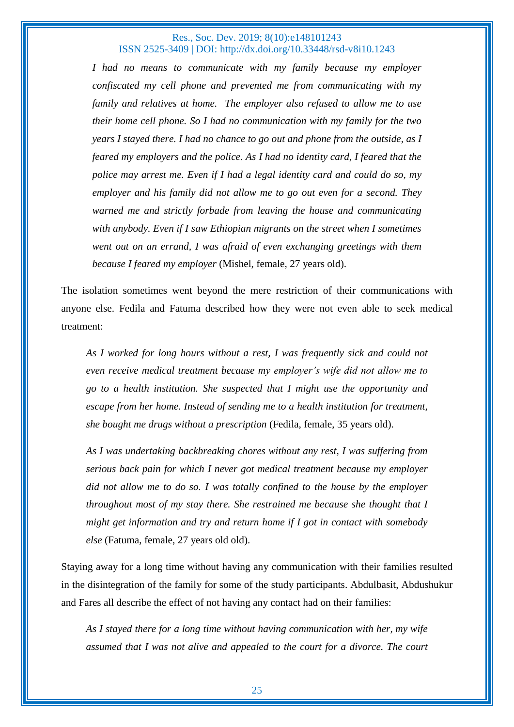*I had no means to communicate with my family because my employer confiscated my cell phone and prevented me from communicating with my family and relatives at home. The employer also refused to allow me to use their home cell phone. So I had no communication with my family for the two years I stayed there. I had no chance to go out and phone from the outside, as I feared my employers and the police. As I had no identity card, I feared that the police may arrest me. Even if I had a legal identity card and could do so, my employer and his family did not allow me to go out even for a second. They warned me and strictly forbade from leaving the house and communicating with anybody. Even if I saw Ethiopian migrants on the street when I sometimes went out on an errand, I was afraid of even exchanging greetings with them because I feared my employer* (Mishel, female, 27 years old).

The isolation sometimes went beyond the mere restriction of their communications with anyone else. Fedila and Fatuma described how they were not even able to seek medical treatment:

*As I worked for long hours without a rest, I was frequently sick and could not even receive medical treatment because my employer's wife did not allow me to go to a health institution. She suspected that I might use the opportunity and escape from her home. Instead of sending me to a health institution for treatment, she bought me drugs without a prescription* (Fedila, female, 35 years old).

*As I was undertaking backbreaking chores without any rest, I was suffering from serious back pain for which I never got medical treatment because my employer did not allow me to do so. I was totally confined to the house by the employer throughout most of my stay there. She restrained me because she thought that I might get information and try and return home if I got in contact with somebody else* (Fatuma, female, 27 years old old).

Staying away for a long time without having any communication with their families resulted in the disintegration of the family for some of the study participants. Abdulbasit, Abdushukur and Fares all describe the effect of not having any contact had on their families:

*As I stayed there for a long time without having communication with her, my wife assumed that I was not alive and appealed to the court for a divorce. The court*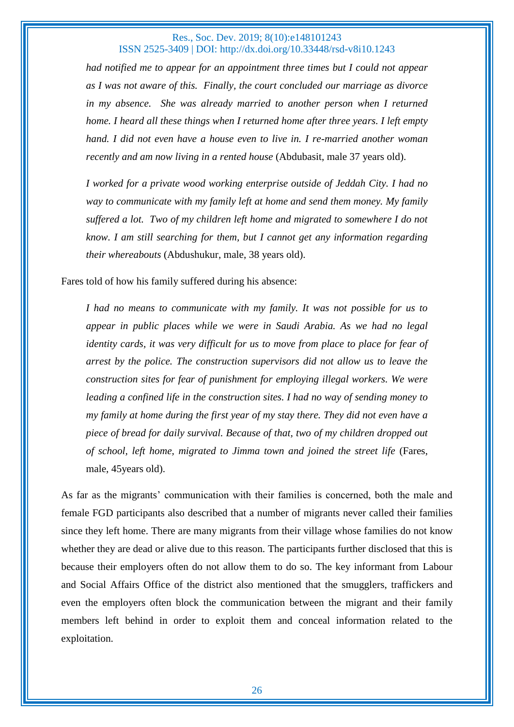*had notified me to appear for an appointment three times but I could not appear as I was not aware of this. Finally, the court concluded our marriage as divorce in my absence. She was already married to another person when I returned home. I heard all these things when I returned home after three years. I left empty hand. I did not even have a house even to live in. I re-married another woman recently and am now living in a rented house* (Abdubasit, male 37 years old).

*I worked for a private wood working enterprise outside of Jeddah City. I had no way to communicate with my family left at home and send them money. My family suffered a lot. Two of my children left home and migrated to somewhere I do not know. I am still searching for them, but I cannot get any information regarding their whereabouts* (Abdushukur, male, 38 years old).

Fares told of how his family suffered during his absence:

*I had no means to communicate with my family. It was not possible for us to appear in public places while we were in Saudi Arabia. As we had no legal identity cards, it was very difficult for us to move from place to place for fear of arrest by the police. The construction supervisors did not allow us to leave the construction sites for fear of punishment for employing illegal workers. We were leading a confined life in the construction sites. I had no way of sending money to my family at home during the first year of my stay there. They did not even have a piece of bread for daily survival. Because of that, two of my children dropped out of school, left home, migrated to Jimma town and joined the street life* (Fares, male, 45years old).

As far as the migrants' communication with their families is concerned, both the male and female FGD participants also described that a number of migrants never called their families since they left home. There are many migrants from their village whose families do not know whether they are dead or alive due to this reason. The participants further disclosed that this is because their employers often do not allow them to do so. The key informant from Labour and Social Affairs Office of the district also mentioned that the smugglers, traffickers and even the employers often block the communication between the migrant and their family members left behind in order to exploit them and conceal information related to the exploitation.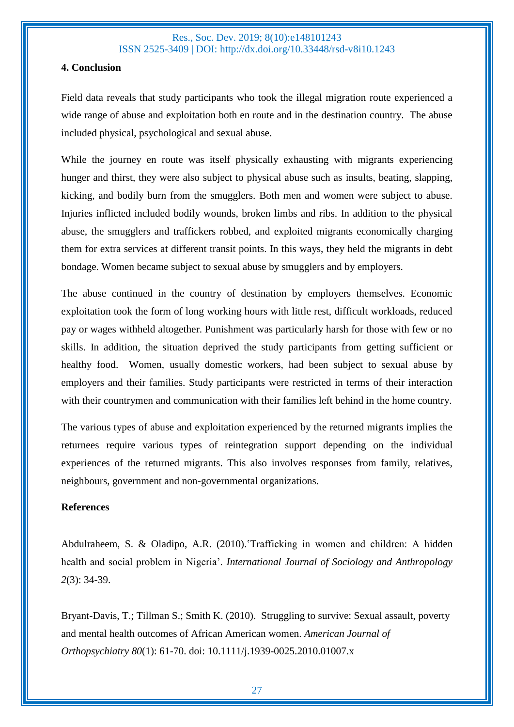## **4. Conclusion**

Field data reveals that study participants who took the illegal migration route experienced a wide range of abuse and exploitation both en route and in the destination country. The abuse included physical, psychological and sexual abuse.

While the journey en route was itself physically exhausting with migrants experiencing hunger and thirst, they were also subject to physical abuse such as insults, beating, slapping, kicking, and bodily burn from the smugglers. Both men and women were subject to abuse. Injuries inflicted included bodily wounds, broken limbs and ribs. In addition to the physical abuse, the smugglers and traffickers robbed, and exploited migrants economically charging them for extra services at different transit points. In this ways, they held the migrants in debt bondage. Women became subject to sexual abuse by smugglers and by employers.

The abuse continued in the country of destination by employers themselves. Economic exploitation took the form of long working hours with little rest, difficult workloads, reduced pay or wages withheld altogether. Punishment was particularly harsh for those with few or no skills. In addition, the situation deprived the study participants from getting sufficient or healthy food. Women, usually domestic workers, had been subject to sexual abuse by employers and their families. Study participants were restricted in terms of their interaction with their countrymen and communication with their families left behind in the home country.

The various types of abuse and exploitation experienced by the returned migrants implies the returnees require various types of reintegration support depending on the individual experiences of the returned migrants. This also involves responses from family, relatives, neighbours, government and non-governmental organizations.

## **References**

Abdulraheem, S. & Oladipo, A.R. (2010).'Trafficking in women and children: A hidden health and social problem in Nigeria'. *International Journal of Sociology and Anthropology 2*(3): 34-39.

Bryant-Davis, T.; Tillman S.; Smith K. (2010). Struggling to survive: Sexual assault, poverty and mental health outcomes of African American women. *American Journal of Orthopsychiatry 80*(1): 61-70. doi: 10.1111/j.1939-0025.2010.01007.x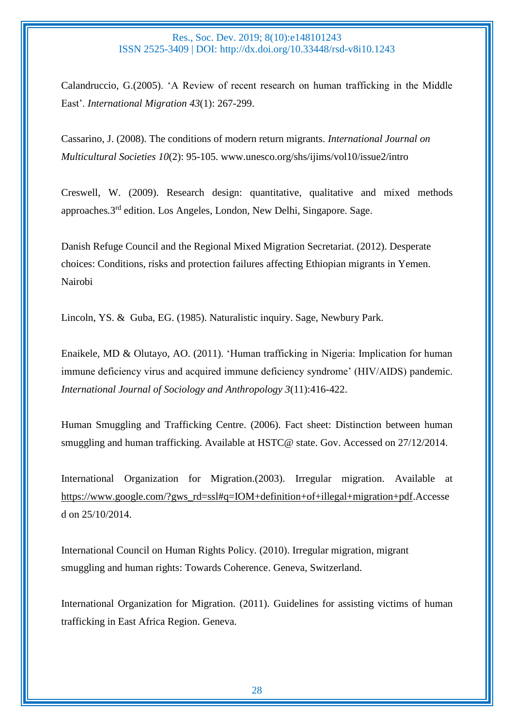Calandruccio, G.(2005). 'A Review of recent research on human trafficking in the Middle East'. *International Migration 43*(1): 267-299.

Cassarino, J. (2008). The conditions of modern return migrants. *International Journal on Multicultural Societies 10*(2): 95-105. www.unesco.org/shs/ijims/vol10/issue2/intro

Creswell, W. (2009). Research design: quantitative, qualitative and mixed methods approaches*.*3 rd edition. Los Angeles, London, New Delhi, Singapore. Sage.

Danish Refuge Council and the Regional Mixed Migration Secretariat. (2012). Desperate choices: Conditions, risks and protection failures affecting Ethiopian migrants in Yemen. Nairobi

Lincoln, YS. & Guba, EG. (1985). Naturalistic inquiry. Sage, Newbury Park.

Enaikele, MD & Olutayo, AO. (2011). 'Human trafficking in Nigeria: Implication for human immune deficiency virus and acquired immune deficiency syndrome' (HIV/AIDS) pandemic. *International Journal of Sociology and Anthropology 3*(11):416-422.

Human Smuggling and Trafficking Centre. (2006). Fact sheet: Distinction between human smuggling and human trafficking. Available at HSTC@ state. Gov. Accessed on 27/12/2014.

International Organization for Migration.(2003). Irregular migration. Available at [https://www.google.com/?gws\\_rd=ssl#q=IOM+definition+of+illegal+migration+pdf.](https://www.google.com/?gws_rd=ssl#q=IOM+definition+of+illegal+migration+pdf)Accesse d on 25/10/2014.

International Council on Human Rights Policy. (2010). Irregular migration, migrant smuggling and human rights: Towards Coherence. Geneva, Switzerland.

International Organization for Migration. (2011). Guidelines for assisting victims of human trafficking in East Africa Region. Geneva.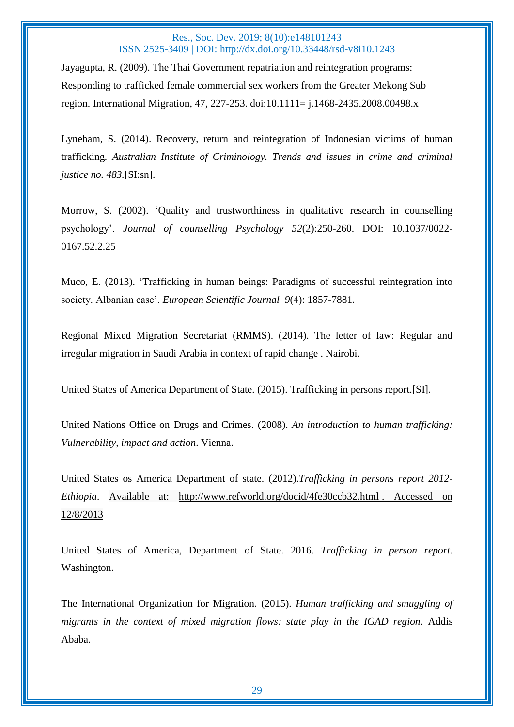Jayagupta, R. (2009). The Thai Government repatriation and reintegration programs: Responding to trafficked female commercial sex workers from the Greater Mekong Sub region. International Migration, 47, 227-253. doi:10.1111= j.1468-2435.2008.00498.x

Lyneham, S. (2014). Recovery, return and reintegration of Indonesian victims of human trafficking*. Australian Institute of Criminology. Trends and issues in crime and criminal justice no. 483.*[SI:sn].

Morrow, S. (2002). 'Quality and trustworthiness in qualitative research in counselling psychology'. *Journal of counselling Psychology 52*(2):250-260. DOI: 10.1037/0022- 0167.52.2.25

Muco, E. (2013). 'Trafficking in human beings: Paradigms of successful reintegration into society. Albanian case'. *European Scientific Journal 9*(4): 1857-7881.

Regional Mixed Migration Secretariat (RMMS). (2014). The letter of law: Regular and irregular migration in Saudi Arabia in context of rapid change . Nairobi.

United States of America Department of State. (2015). Trafficking in persons report.[SI].

United Nations Office on Drugs and Crimes. (2008). *An introduction to human trafficking: Vulnerability, impact and action*. Vienna.

United States os America Department of state. (2012).*Trafficking in persons report 2012- Ethiopia*. Available at: [http://www.refworld.org/docid/4fe30ccb32.html](http://www.refworld.org/docid/4fe30ccb32.html .%20Accessed%20on%2012/8/2013) . Accessed on [12/8/2013](http://www.refworld.org/docid/4fe30ccb32.html .%20Accessed%20on%2012/8/2013)

United States of America, Department of State. 2016. *Trafficking in person report*. Washington.

The International Organization for Migration. (2015). *Human trafficking and smuggling of migrants in the context of mixed migration flows: state play in the IGAD region*. Addis Ababa.